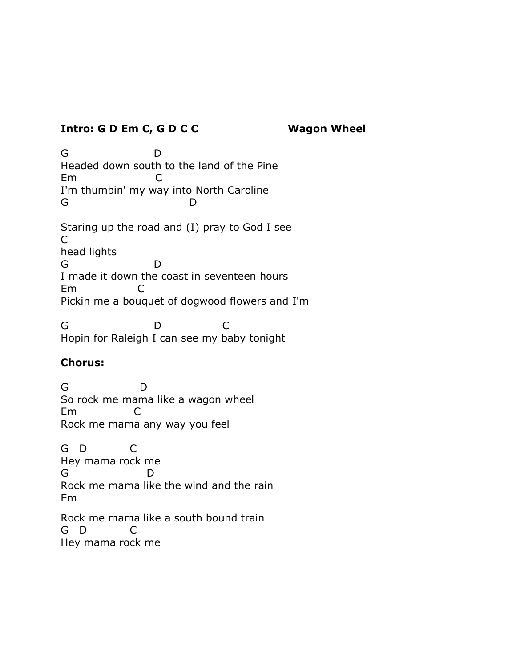# **Intro: G D Em C, G D C C Wagon Wheel**

G D Headed down south to the land of the Pine Em C I'm thumbin' my way into North Caroline G D Staring up the road and (I) pray to God I see C head lights G D I made it down the coast in seventeen hours Em C Pickin me a bouquet of dogwood flowers and I'm

G D C Hopin for Raleigh I can see my baby tonight

# **Chorus:**

G D So rock me mama like a wagon wheel Em C Rock me mama any way you feel

G D C Hey mama rock me G D Rock me mama like the wind and the rain Em Rock me mama like a south bound train G D C Hey mama rock me